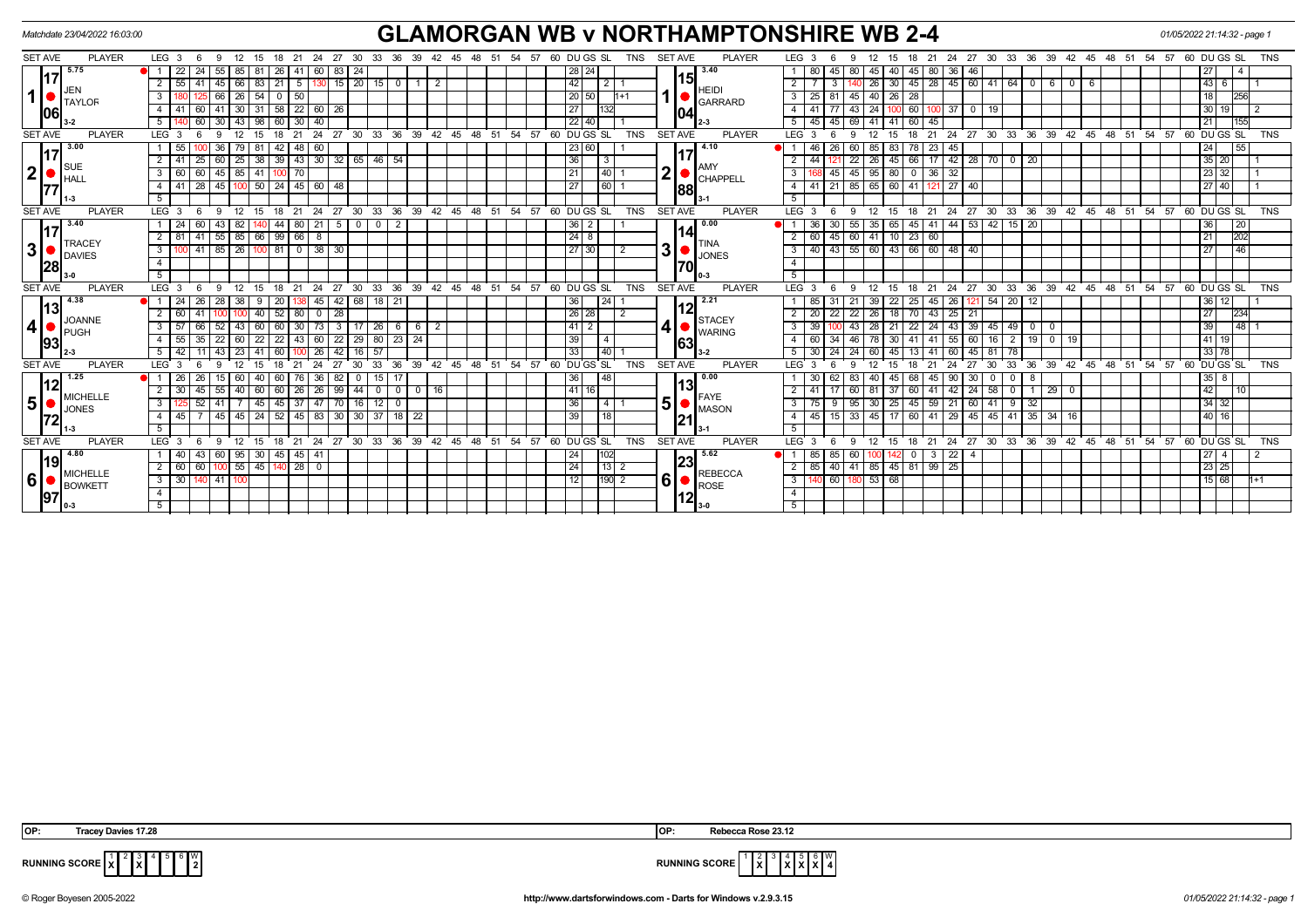|                 | Matchdate 23/04/2022 16:03:00   |                  |    |                   |                 |    |                  |                 |                 |    |                        |                 |                                    |    |    |                        |    |     |       |    |     |               |                 |          |            |                |                | <b>GLAMORGAN WB v NORTHAMPTONSHIRE WB 2-4</b>            |               |            |      |            |                  |          |      |       |                 |                |              |      |       |    |                     |     |     |      | 01/05/2022 21:14:32 - page 1 |       |                |                  |            |
|-----------------|---------------------------------|------------------|----|-------------------|-----------------|----|------------------|-----------------|-----------------|----|------------------------|-----------------|------------------------------------|----|----|------------------------|----|-----|-------|----|-----|---------------|-----------------|----------|------------|----------------|----------------|----------------------------------------------------------|---------------|------------|------|------------|------------------|----------|------|-------|-----------------|----------------|--------------|------|-------|----|---------------------|-----|-----|------|------------------------------|-------|----------------|------------------|------------|
| <b>SET AVE</b>  | <b>PLAYER</b>                   | LEG              |    |                   |                 |    |                  |                 |                 |    |                        | 33              |                                    | 39 | 42 | 45                     |    | .54 | .57   | 60 |     |               | I GS SL         |          | <b>TNS</b> | <b>SET AVE</b> |                |                                                          | <b>PLAYER</b> | LEG        |      |            |                  |          |      |       |                 |                | 30           |      |       | 39 |                     | -51 |     | -57  |                              |       | DU GS SL       |                  |            |
|                 | 5.75                            |                  | 24 | 155'              | 85              | 81 | 26               |                 | 60              | 83 | -24                    |                 |                                    |    |    |                        |    |     |       |    |     | 28   24       |                 |          |            |                |                | 3.40                                                     |               |            | - 80 |            |                  | 45       | 45   | 80    | -36             | 46             |              |      |       |    |                     |     |     |      |                              | 27    |                | l 4              |            |
|                 |                                 |                  |    | 45                |                 | 83 |                  |                 |                 |    | 20                     |                 |                                    |    |    |                        |    |     |       |    |     |               |                 |          |            |                | 15             |                                                          |               |            |      |            |                  |          |      | 28    | 45 I            | 60 I           |              | l 64 |       |    |                     |     |     |      |                              | 43    |                |                  |            |
|                 | . IJEN<br><b>TAYLOR</b>         |                  |    |                   |                 |    |                  | 50              |                 |    |                        |                 |                                    |    |    |                        |    |     |       |    |     | 20 50         |                 | $11 + 1$ |            |                |                | <b>HEID</b><br>GARRARD                                   |               |            |      |            |                  | 40       |      |       |                 |                |              |      |       |    |                     |     |     |      |                              | 18    |                | 1256             |            |
| 106             |                                 |                  |    |                   |                 |    |                  | 22              | 60              |    |                        |                 |                                    |    |    |                        |    |     |       |    |     |               |                 |          |            |                | 04             |                                                          |               |            |      |            |                  |          | 60   |       |                 |                |              |      |       |    |                     |     |     |      |                              | 30 19 |                |                  |            |
|                 |                                 |                  |    |                   |                 | 98 | 60               | 30 <sup>1</sup> | - 40            |    |                        |                 |                                    |    |    |                        |    |     |       |    |     | $22$ 40       |                 |          |            |                |                | II 2-3                                                   |               |            | 45   |            |                  |          | 60 I | 45    |                 |                |              |      |       |    |                     |     |     |      |                              | 21    |                | 1155             |            |
| <b>SET AVE</b>  | <b>PLAYER</b>                   | I FG             |    |                   |                 |    |                  |                 | 24              | 27 | 30                     | 33 <sup>3</sup> | 36                                 | 39 |    | $42 \cdot 45 \cdot 48$ | 51 |     | 54.57 | ന  |     |               |                 |          | <b>TNS</b> |                | <b>SET AVE</b> |                                                          | <b>PLAYER</b> | I FG       |      |            |                  |          |      | 21    | 24              | 27             | $30^{\circ}$ | 33   | 36    | 39 | 45<br>48            | 51  | -54 | - 57 |                              |       | DU GS SL       |                  |            |
|                 | $\overline{1}$ 3.00             |                  |    | -36               |                 |    |                  |                 | 60              |    |                        |                 |                                    |    |    |                        |    |     |       |    |     | 23 60         |                 |          |            |                |                | 4.10                                                     |               |            | 46   |            |                  | 85       |      | 23    |                 |                |              |      |       |    |                     |     |     |      |                              | 24    |                | $\overline{155}$ |            |
|                 |                                 |                  |    | 60                | 25              | 38 | 39               | 43              | $\overline{30}$ | 32 | 65                     | 46              |                                    |    |    |                        |    |     |       |    | 136 |               | - 3             |          |            |                |                |                                                          |               |            |      |            |                  | 26       | 66   |       | 42              | 28             | 70           |      | 20    |    |                     |     |     |      |                              |       | $35$ 20        |                  |            |
| 2               | ¶S∪E<br><b>HAL</b>              |                  |    | 45                | 85              |    |                  |                 |                 |    |                        |                 |                                    |    |    |                        |    |     |       |    |     |               | 40              |          |            | $2\mathsf{R}$  |                | , IAM)<br>$\blacksquare$ CHAPPELL                        |               |            |      |            |                  | 95       |      | 36    | 32              |                |              |      |       |    |                     |     |     |      |                              |       | $\sqrt{23}$ 32 |                  |            |
|                 |                                 |                  | 28 | 45                |                 |    | 24               | 45              | 60              |    |                        |                 |                                    |    |    |                        |    |     |       |    |     |               | $\overline{60}$ |          |            |                | 88             |                                                          |               |            | 41   |            |                  | 65<br>60 | 141  |       | $\overline{27}$ | 40             |              |      |       |    |                     |     |     |      |                              |       | 27140          |                  |            |
|                 | $11-3$                          |                  |    |                   |                 |    |                  |                 |                 |    |                        |                 |                                    |    |    |                        |    |     |       |    |     |               |                 |          |            |                |                |                                                          |               |            |      |            |                  |          |      |       |                 |                |              |      |       |    |                     |     |     |      |                              |       |                |                  |            |
| <b>SET AVE</b>  | <b>PLAYER</b>                   | LEG <sup>®</sup> |    |                   | 12 <sup>1</sup> | 15 | ່ 18 ່ 21 ່ 24 ່ |                 |                 |    | $27 \cdot 30 \cdot 33$ |                 | 36 39 42 45 48 51 54 57 60 DUGS SL |    |    |                        |    |     |       |    |     |               |                 |          | <b>TNS</b> | <b>SET AVE</b> |                |                                                          | <b>PLAYER</b> | <b>IFG</b> |      | $\epsilon$ | $\alpha$<br>- 12 |          |      | 18 21 |                 | $24 \t27$      | - 30         | 33   | 36 39 |    | $42$ 45 48 51 54 57 |     |     |      |                              |       | $60$ DU GS SL  |                  | <b>TNS</b> |
|                 | 3.40                            |                  |    | -43               |                 |    | 44 I             | 80              |                 |    |                        |                 |                                    |    |    |                        |    |     |       |    | 36  |               |                 |          |            |                |                | 0.00                                                     |               |            |      |            |                  | 35       | 45   |       | 44              |                |              |      | 20    |    |                     |     |     |      |                              | 36    |                | $\overline{120}$ |            |
|                 |                                 |                  |    | 55                | 85              | 66 | $\sqrt{99}$      | 66 8            |                 |    |                        |                 |                                    |    |    |                        |    |     |       |    |     | $\sqrt{24}$ 8 |                 |          |            |                | 14I            |                                                          |               |            | 60   |            |                  | 41       | 23   | 60    |                 |                |              |      |       |    |                     |     |     |      |                              | 21    |                | 202              |            |
| 3  <sub>o</sub> | <b>TRACEY</b><br><b>IDAVIES</b> |                  | 41 | $85 \mid 26 \mid$ |                 |    | 81 0 38          |                 |                 | 30 |                        |                 |                                    |    |    |                        |    |     |       |    |     | 27 30         |                 |          |            |                |                | <b>ITINA</b><br>$3\bullet$ $\bullet$ $\bullet$ $\bullet$ |               |            | 40   | 43 55      |                  | 60       |      |       |                 | 43 66 60 48 40 |              |      |       |    |                     |     |     |      |                              | 27    |                | $\overline{146}$ |            |

TINA JONES **0-3**

 

|                |    | $\mathsf{L}_\mathsf{u}$ 3-0 |            |      |     |                 |                                   |      |                   |         |       |    |               |             |               |    |    |                                                   |    |    |    |                   |                 |                 |            |                |                  | l 0-3          |               |                  |                 |       |                 |                      |                 |                   |         |          |     |         |       |     |                 |                                                            |    |    |    |             |     |            |
|----------------|----|-----------------------------|------------|------|-----|-----------------|-----------------------------------|------|-------------------|---------|-------|----|---------------|-------------|---------------|----|----|---------------------------------------------------|----|----|----|-------------------|-----------------|-----------------|------------|----------------|------------------|----------------|---------------|------------------|-----------------|-------|-----------------|----------------------|-----------------|-------------------|---------|----------|-----|---------|-------|-----|-----------------|------------------------------------------------------------|----|----|----|-------------|-----|------------|
| <b>SET AVE</b> |    | <b>PLAYER</b>               | $LEG_3$    |      | - 6 | - 9             |                                   |      |                   |         |       |    |               |             |               |    |    | $12$ 15 18 21 24 27 30 33 36 39 42 45 48 51 54 57 |    |    |    |                   | 60 DU GS SL     |                 | <b>TNS</b> |                | <b>SET AVE</b>   |                | <b>PLAYER</b> | <b>LEG</b>       |                 | - 6   | - 9             |                      |                 |                   |         |          |     |         |       |     |                 | 12 15 18 21 24 27 30 33 36 39 42 45 48 51 54 57 60 DUGS SL |    |    |    |             |     | <b>TNS</b> |
|                | 13 |                             |            | -24  |     | 28              | 38                                |      | 20                |         | 3145  | 42 | 68            | 18          | 21            |    |    |                                                   |    |    |    | 36                |                 |                 |            |                |                  | $2.2^{\circ}$  |               |                  | 85              |       | 21              | 39                   | 22              | 25                | 45      | 26       | -54 |         |       |     |                 |                                                            |    |    | 36 | 12          |     |            |
|                |    | <b>JOANNE</b>               |            | 60   |     |                 |                                   |      | 52                | 80      |       | 28 |               |             |               |    |    |                                                   |    |    |    |                   | 26 28           |                 |            |                |                  | <b>STACEY</b>  |               |                  | 20              |       | 22              | 26                   | 18 <sub>1</sub> | 70'               | 43      | 25<br>21 |     |         |       |     |                 |                                                            |    |    | 27 |             | 234 |            |
| 4              |    | <b>PUGH</b>                 |            |      |     | 52              | 43                                |      | 60                | 30      |       | 3  |               | $\sqrt{26}$ | O             |    |    |                                                   |    |    |    |                   |                 |                 |            |                |                  | <b>WARING</b>  |               | $\mathbf{3}$     | 39              |       | 43              |                      | 28 21           | 22                | 24 43   | 39       |     | 45   49 |       |     |                 |                                                            |    |    | 39 |             |     |            |
|                | 93 |                             |            | 55   |     |                 | 22   60   22                      |      | 22 43 60 22 29 80 |         |       |    |               |             | 23            | 24 |    |                                                   |    |    |    | 39                |                 |                 |            |                | 63               |                |               |                  | 60              |       | 46              |                      | 78 30           | 41                | $41$ 55 | 60       |     |         | 19    |     | 19 <sup>1</sup> |                                                            |    |    |    | 41   19     |     |            |
|                |    |                             |            | - 42 |     |                 | 43   23   41   60   100   26   42 |      |                   |         |       |    | 16   57       |             |               |    |    |                                                   |    |    |    | 33                |                 |                 |            |                |                  | l 3-2          |               |                  |                 | 30 24 |                 | 24 60 45 13 41 60 45 |                 |                   |         |          | 81  | 78      |       |     |                 |                                                            |    |    |    | 33 78       |     |            |
| <b>SET AVE</b> |    | <b>PLAYER</b>               | <b>LEG</b> |      |     |                 | 12 15                             |      | 18 21             |         | 24 27 |    | $30^{\circ}$  | 33          | 36            | 39 | 42 | 45<br>48                                          | 51 | 54 | 57 |                   | 60 DU GS SL     |                 | <b>TNS</b> |                | <b>SET AVE</b>   |                | <b>PLAYER</b> | <b>LEG</b>       |                 |       |                 |                      | $12 \quad 15$   | 18 21 24 27       |         |          |     | 30 33   | 36 39 |     | 42              | 45 48 51                                                   | 54 | 57 |    | 60 DU GS SL |     | <b>TNS</b> |
|                |    |                             |            | 26   |     | 15 <sup>1</sup> | 60   40                           |      | 60                | 76 36   |       | 82 |               | $\vert$ 15  |               |    |    |                                                   |    |    |    | 36                |                 | l 48            |            |                |                  | $\sqrt{0.00}$  |               |                  | 30 <sup>1</sup> |       | 83              |                      | 40 45           | 68                | 45 90   | 30       |     |         |       |     |                 |                                                            |    |    | 35 | 8           |     |            |
|                |    | <b>MICHELLE</b>             |            | 30   |     | 55              | 40 60 60                          |      |                   | 26 26   |       | 99 | 44            |             | $\mathbf 0$   |    | 16 |                                                   |    |    |    | 41                | 16 <sub>1</sub> |                 |            |                | '13              | FAYE           |               |                  |                 |       | 60 <sub>1</sub> |                      | 81 37           | 60                |         | 24       | 58  |         |       | 29  |                 |                                                            |    |    | 42 |             |     |            |
| 5              |    | <b>JONES</b>                |            |      |     | 41              |                                   | -45  | 45                | -37     |       |    |               |             |               |    |    |                                                   |    |    |    | 36                |                 |                 |            | 5 <sup>1</sup> |                  | <b>IMASON</b>  |               | 3                |                 |       | 95              | 30 I                 |                 | 45                | 59      | 60       |     |         | 32    |     |                 |                                                            |    |    |    | 34 32       |     |            |
|                | 72 |                             |            |      |     | 45              | 45                                | 24   | 52                | 45   83 |       | 30 | 30            |             | 18            | 22 |    |                                                   |    |    |    | 39                |                 | <sup>1</sup> 18 |            |                | 21               |                |               | $\overline{4}$   |                 |       | 33 <sup>1</sup> |                      |                 | 60                |         | 29<br>45 |     | 45   41 | 35    | -34 | 16 I            |                                                            |    |    |    | 40   16     |     |            |
|                |    |                             |            |      |     |                 |                                   |      |                   |         |       |    |               |             |               |    |    |                                                   |    |    |    |                   |                 |                 |            |                |                  |                |               |                  |                 |       |                 |                      |                 |                   |         |          |     |         |       |     |                 |                                                            |    |    |    |             |     |            |
| <b>SET AVE</b> |    | <b>PLAYER</b>               | LEG 3      |      |     |                 | 12 <sup>°</sup>                   |      | 18 21             |         |       |    | $24$ 27 30 33 |             | $36 \quad 39$ |    |    | 42 45 48 51 54 57                                 |    |    |    |                   | 60 DU GS SL     |                 | <b>TNS</b> |                | <b>SET AVE</b>   |                | <b>PLAYER</b> | LEG <sup>T</sup> |                 |       |                 | 12 <sup>1</sup>      |                 | 18 21 24 27 30 33 |         |          |     |         |       |     |                 | 36 39 42 45 48 51 54 57 60 DUGS SL                         |    |    |    |             |     | <b>TNS</b> |
|                | 19 |                             |            |      |     | 60              |                                   |      | 45                |         |       |    |               |             |               |    |    |                                                   |    |    |    | 24                |                 |                 |            |                | 23               | 5.62           |               |                  | co              |       |                 |                      |                 |                   |         |          |     |         |       |     |                 |                                                            |    |    | 27 |             |     |            |
|                |    | <b>MICHELLE</b>             |            | 60   |     |                 | 55                                | l 45 |                   | 28      |       |    |               |             |               |    |    |                                                   |    |    |    | 24                |                 | 131             |            |                |                  | <b>REBECCA</b> |               |                  | 85              |       |                 | 41 85 45             |                 | 81                | 99 25   |          |     |         |       |     |                 |                                                            |    |    |    | 23 25       |     |            |
| 6              |    | <b>BOWKETT</b>              |            | 30   |     | 41              |                                   |      |                   |         |       |    |               |             |               |    |    |                                                   |    |    |    | $12 \overline{ }$ |                 |                 |            | $6 \mid$       |                  | ROSE           |               | $\mathbf{3}$     |                 | 60    |                 | 53 68                |                 |                   |         |          |     |         |       |     |                 |                                                            |    |    |    | 15   68     |     |            |
|                |    |                             |            |      |     |                 |                                   |      |                   |         |       |    |               |             |               |    |    |                                                   |    |    |    |                   |                 |                 |            |                | 112 <sub>l</sub> |                |               |                  |                 |       |                 |                      |                 |                   |         |          |     |         |       |     |                 |                                                            |    |    |    |             |     |            |
|                |    |                             |            |      |     |                 |                                   |      |                   |         |       |    |               |             |               |    |    |                                                   |    |    |    |                   |                 |                 |            |                |                  |                |               |                  |                 |       |                 |                      |                 |                   |         |          |     |         |       |     |                 |                                                            |    |    |    |             |     |            |

 $\overline{X}$ 

 $\frac{1}{2}$ 



**RUNNING SCORE**  $\begin{bmatrix} 1 \\ \mathbf{X} \end{bmatrix}^2 \begin{bmatrix} 2 \\ \mathbf{X} \end{bmatrix}^3$ 

TRACEY DAVIES

 $\boxed{4}$